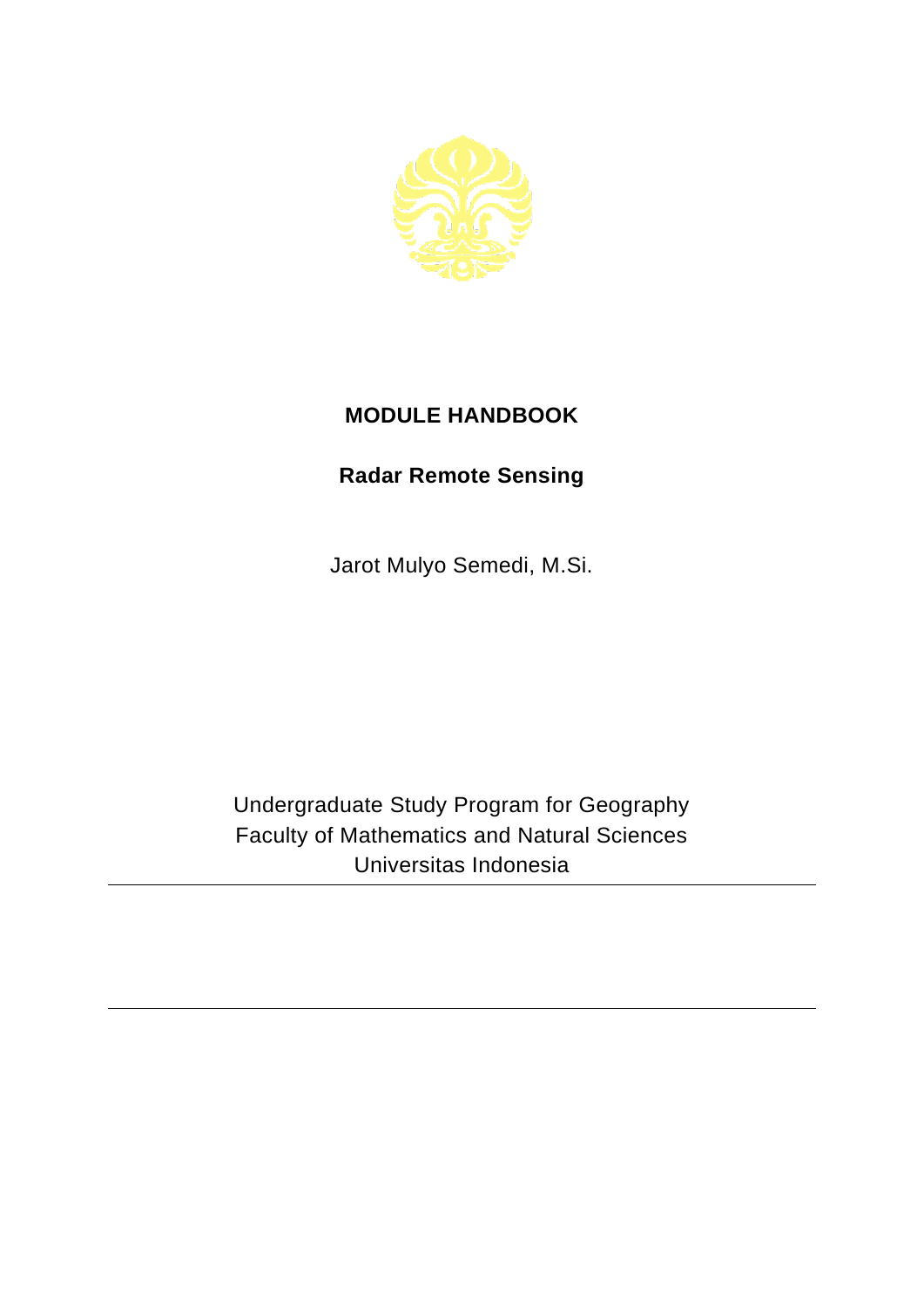

## **MODULE HANDBOOK**

## **Radar Remote Sensing**

Jarot Mulyo Semedi, M.Si.

Undergraduate Study Program for Geography Faculty of Mathematics and Natural Sciences Universitas Indonesia